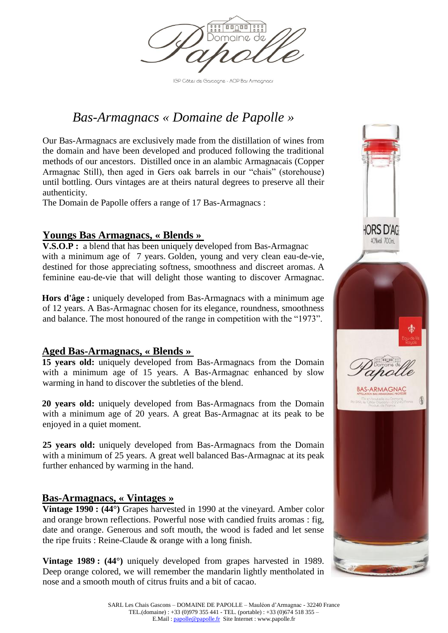

IGP Côtes de Garcogne - AOP Bas Armagnacs

# *Bas-Armagnacs « Domaine de Papolle »*

Our Bas-Armagnacs are exclusively made from the distillation of wines from the domain and have been developed and produced following the traditional methods of our ancestors. Distilled once in an alambic Armagnacais (Copper Armagnac Still), then aged in Gers oak barrels in our "chais" (storehouse) until bottling. Ours vintages are at theirs natural degrees to preserve all their authenticity.

The Domain de Papolle offers a range of 17 Bas-Armagnacs :

## **Youngs Bas Armagnacs, « Blends »**

**V.S.O.P**: a blend that has been uniquely developed from Bas-Armagnac with a minimum age of 7 years. Golden, young and very clean eau-de-vie, destined for those appreciating softness, smoothness and discreet aromas. A feminine eau-de-vie that will delight those wanting to discover Armagnac.

**Hors d'âge :** uniquely developed from Bas-Armagnacs with a minimum age of 12 years. A Bas-Armagnac chosen for its elegance, roundness, smoothness and balance. The most honoured of the range in competition with the "1973".

### **Aged Bas-Armagnacs, « Blends »**

**15 years old:** uniquely developed from Bas-Armagnacs from the Domain with a minimum age of 15 years. A Bas-Armagnac enhanced by slow warming in hand to discover the subtleties of the blend.

**20 years old:** uniquely developed from Bas-Armagnacs from the Domain with a minimum age of 20 years. A great Bas-Armagnac at its peak to be enjoyed in a quiet moment.

**25 years old:** uniquely developed from Bas-Armagnacs from the Domain with a minimum of 25 years. A great well balanced Bas-Armagnac at its peak further enhanced by warming in the hand.

### **Bas-Armagnacs, « Vintages »**

**Vintage 1990 : (44°)** Grapes harvested in 1990 at the vineyard. Amber color and orange brown reflections. Powerful nose with candied fruits aromas : fig, date and orange. Generous and soft mouth, the wood is faded and let sense the ripe fruits : Reine-Claude & orange with a long finish.

**Vintage 1989 : (44°)** uniquely developed from grapes harvested in 1989. Deep orange colored, we will remember the mandarin lightly mentholated in nose and a smooth mouth of citrus fruits and a bit of cacao.